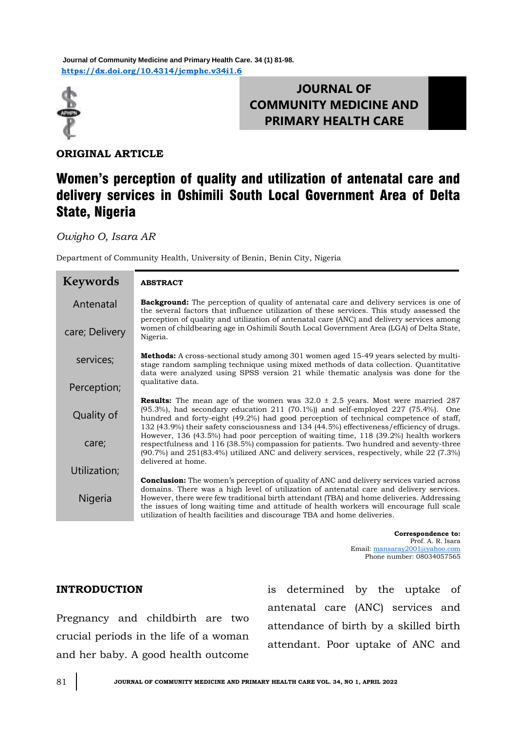**<https://dx.doi.org/10.4314/jcmphc.v34i1.6> Journal of Community Medicine and Primary Health Care. 34 (1) 81-98.**



# **JOURNAL OF COMMUNITY MEDICINE AND PRIMARY HEALTH CARE**

**ORIGINAL ARTICLE**

# Women's perception of quality and utilization of antenatal care and delivery services in Oshimili South Local Government Area of Delta State, Nigeria

*Owigho O, Isara AR*

Department of Community Health, University of Benin, Benin City, Nigeria

| <b>Keywords</b> | <b>ABSTRACT</b>                                                                                                                                                                                                                                                                                                                                                                                                                                                 |
|-----------------|-----------------------------------------------------------------------------------------------------------------------------------------------------------------------------------------------------------------------------------------------------------------------------------------------------------------------------------------------------------------------------------------------------------------------------------------------------------------|
| Antenatal       | <b>Background:</b> The perception of quality of antenatal care and delivery services is one of<br>the several factors that influence utilization of these services. This study assessed the<br>perception of quality and utilization of antenatal care (ANC) and delivery services among                                                                                                                                                                        |
| care; Delivery  | women of childbearing age in Oshimili South Local Government Area (LGA) of Delta State,<br>Nigeria.                                                                                                                                                                                                                                                                                                                                                             |
| services;       | Methods: A cross-sectional study among 301 women aged 15-49 years selected by multi-<br>stage random sampling technique using mixed methods of data collection. Quantitative<br>data were analyzed using SPSS version 21 while thematic analysis was done for the                                                                                                                                                                                               |
| Perception;     | qualitative data.                                                                                                                                                                                                                                                                                                                                                                                                                                               |
| Quality of      | <b>Results:</b> The mean age of the women was $32.0 \pm 2.5$ years. Most were married 287<br>$(95.3%)$ , had secondary education 211 $(70.1%)$ and self-employed 227 $(75.4%)$ . One<br>hundred and forty-eight (49.2%) had good perception of technical competence of staff,<br>132 (43.9%) their safety consciousness and 134 (44.5%) effectiveness/efficiency of drugs.                                                                                      |
| care;           | However, 136 (43.5%) had poor perception of waiting time, 118 (39.2%) health workers<br>respectfulness and 116 (38.5%) compassion for patients. Two hundred and seventy-three<br>$(90.7%)$ and $251(83.4%)$ utilized ANC and delivery services, respectively, while 22 (7.3%)<br>delivered at home.                                                                                                                                                             |
| Utilization;    |                                                                                                                                                                                                                                                                                                                                                                                                                                                                 |
| Nigeria         | <b>Conclusion:</b> The women's perception of quality of ANC and delivery services varied across<br>domains. There was a high level of utilization of antenatal care and delivery services.<br>However, there were few traditional birth attendant (TBA) and home deliveries. Addressing<br>the issues of long waiting time and attitude of health workers will encourage full scale<br>utilization of health facilities and discourage TBA and home deliveries. |

**Correspondence to:**  Prof. A. R. Isara Email: [mansaray2001@yahoo.com](mailto:mansaray2001@yahoo.com) Phone number: 08034057565

# **INTRODUCTION**

Pregnancy and childbirth are two crucial periods in the life of a woman and her baby. A good health outcome

is determined by the uptake of antenatal care (ANC) services and attendance of birth by a skilled birth attendant. Poor uptake of ANC and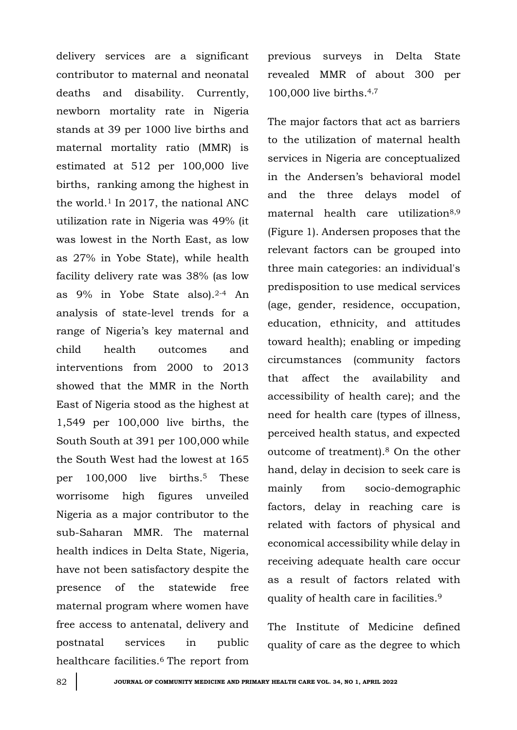delivery services are a significant contributor to maternal and neonatal deaths and disability. Currently, newborn mortality rate in Nigeria stands at 39 per 1000 live births and maternal mortality ratio (MMR) is estimated at 512 per 100,000 live births, ranking among the highest in the world.<sup>1</sup> In 2017, the national ANC utilization rate in Nigeria was 49% (it was lowest in the North East, as low as 27% in Yobe State), while health facility delivery rate was 38% (as low as 9% in Yobe State also).2-4 An analysis of state-level trends for a range of Nigeria's key maternal and child health outcomes and interventions from 2000 to 2013 showed that the MMR in the North East of Nigeria stood as the highest at 1,549 per 100,000 live births, the South South at 391 per 100,000 while the South West had the lowest at 165 per 100,000 live births.<sup>5</sup> These worrisome high figures unveiled Nigeria as a major contributor to the sub-Saharan MMR. The maternal health indices in Delta State, Nigeria, have not been satisfactory despite the presence of the statewide free maternal program where women have free access to antenatal, delivery and postnatal services in public healthcare facilities.<sup>6</sup> The report from

previous surveys in Delta State revealed MMR of about 300 per 100,000 live births.4,7

The major factors that act as barriers to the utilization of maternal health services in Nigeria are conceptualized in the Andersen's behavioral model and the three delays model of maternal health care utilization<sup>8,9</sup> (Figure 1). Andersen proposes that the relevant factors can be grouped into three main categories: an individual's predisposition to use medical services (age, gender, residence, occupation, education, ethnicity, and attitudes toward health); enabling or impeding circumstances (community factors that affect the availability and accessibility of health care); and the need for health care (types of illness, perceived health status, and expected outcome of treatment).<sup>8</sup> On the other hand, delay in decision to seek care is mainly from socio-demographic factors, delay in reaching care is related with factors of physical and economical accessibility while delay in receiving adequate health care occur as a result of factors related with quality of health care in facilities.<sup>9</sup>

The Institute of Medicine defined quality of care as the degree to which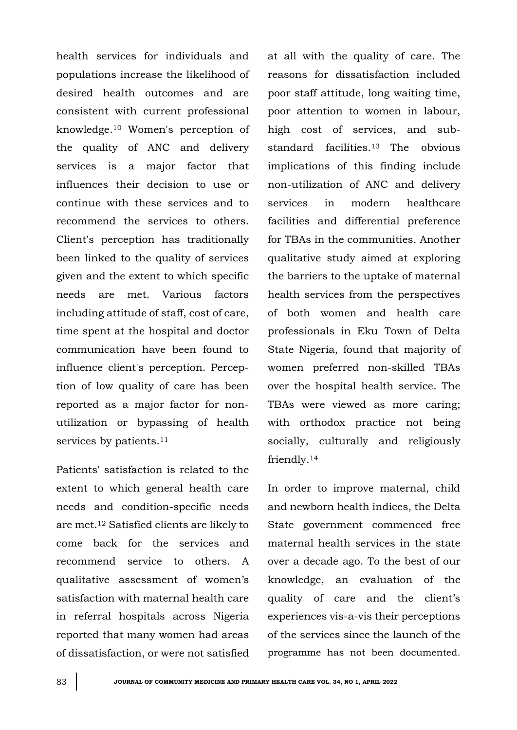health services for individuals and populations increase the likelihood of desired health outcomes and are consistent with current professional knowledge. <sup>10</sup> Women's perception of the quality of ANC and delivery services is a major factor that influences their decision to use or continue with these services and to recommend the services to others. Client's perception has traditionally been linked to the quality of services given and the extent to which specific needs are met. Various factors including attitude of staff, cost of care, time spent at the hospital and doctor communication have been found to influence client's perception. Perception of low quality of care has been reported as a major factor for nonutilization or bypassing of health services by patients.<sup>11</sup>

Patients' satisfaction is related to the extent to which general health care needs and condition-specific needs are met.<sup>12</sup> Satisfied clients are likely to come back for the services and recommend service to others. A qualitative assessment of women's satisfaction with maternal health care in referral hospitals across Nigeria reported that many women had areas of dissatisfaction, or were not satisfied at all with the quality of care. The reasons for dissatisfaction included poor staff attitude, long waiting time, poor attention to women in labour, high cost of services, and substandard facilities.13 The obvious implications of this finding include non-utilization of ANC and delivery services in modern healthcare facilities and differential preference for TBAs in the communities. Another qualitative study aimed at exploring the barriers to the uptake of maternal health services from the perspectives of both women and health care professionals in Eku Town of Delta State Nigeria, found that majority of women preferred non-skilled TBAs over the hospital health service. The TBAs were viewed as more caring; with orthodox practice not being socially, culturally and religiously friendly.<sup>14</sup>

In order to improve maternal, child and newborn health indices, the Delta State government commenced free maternal health services in the state over a decade ago. To the best of our knowledge, an evaluation of the quality of care and the client's experiences vis-a-vis their perceptions of the services since the launch of the programme has not been documented.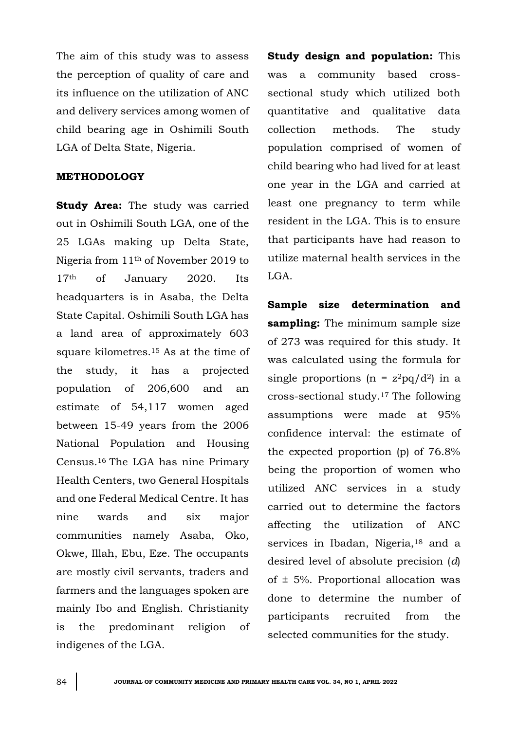The aim of this study was to assess the perception of quality of care and its influence on the utilization of ANC and delivery services among women of child bearing age in Oshimili South LGA of Delta State, Nigeria.

## **METHODOLOGY**

**Study Area:** The study was carried out in Oshimili South LGA, one of the 25 LGAs making up Delta State, Nigeria from 11th of November 2019 to 17th of January 2020. Its headquarters is in Asaba, the Delta State Capital. Oshimili South LGA has a land area of approximately 603 square kilometres.<sup>15</sup> As at the time of the study, it has a projected population of 206,600 and an estimate of 54,117 women aged between 15-49 years from the 2006 National Population and Housing Census.16 The LGA has nine Primary Health Centers, two General Hospitals and one Federal Medical Centre. It has nine wards and six major communities namely Asaba, Oko, Okwe, Illah, Ebu, Eze. The occupants are mostly civil servants, traders and farmers and the languages spoken are mainly Ibo and English. Christianity is the predominant religion of indigenes of the LGA.

**Study design and population:** This was a community based crosssectional study which utilized both quantitative and qualitative data collection methods. The study population comprised of women of child bearing who had lived for at least one year in the LGA and carried at least one pregnancy to term while resident in the LGA. This is to ensure that participants have had reason to utilize maternal health services in the LGA.

**Sample size determination and sampling:** The minimum sample size of 273 was required for this study. It was calculated using the formula for single proportions (n =  $z^2pq/d^2$ ) in a cross-sectional study.17 The following assumptions were made at 95% confidence interval: the estimate of the expected proportion (p) of 76.8% being the proportion of women who utilized ANC services in a study carried out to determine the factors affecting the utilization of ANC services in Ibadan, Nigeria,<sup>18</sup> and a desired level of absolute precision (*d*) of  $\pm$  5%. Proportional allocation was done to determine the number of participants recruited from the selected communities for the study.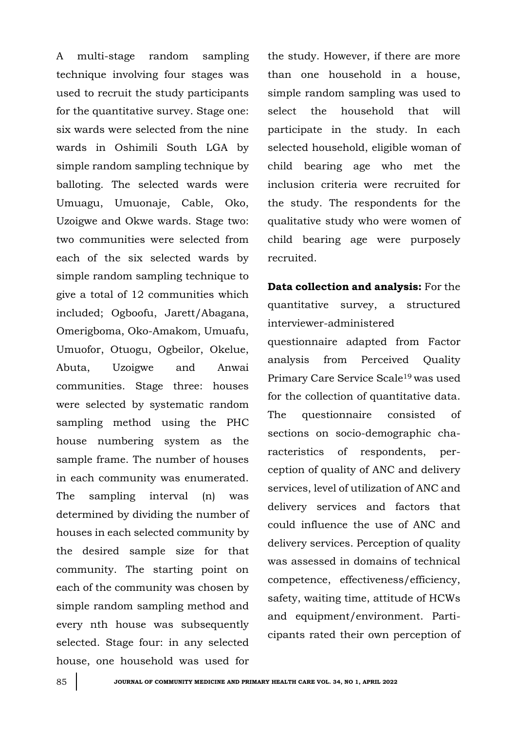A multi-stage random sampling technique involving four stages was used to recruit the study participants for the quantitative survey. Stage one: six wards were selected from the nine wards in Oshimili South LGA by simple random sampling technique by balloting. The selected wards were Umuagu, Umuonaje, Cable, Oko, Uzoigwe and Okwe wards. Stage two: two communities were selected from each of the six selected wards by simple random sampling technique to give a total of 12 communities which included; Ogboofu, Jarett/Abagana, Omerigboma, Oko-Amakom, Umuafu, Umuofor, Otuogu, Ogbeilor, Okelue, Abuta, Uzoigwe and Anwai communities. Stage three: houses were selected by systematic random sampling method using the PHC house numbering system as the sample frame. The number of houses in each community was enumerated. The sampling interval (n) was determined by dividing the number of houses in each selected community by the desired sample size for that community. The starting point on each of the community was chosen by simple random sampling method and every nth house was subsequently selected. Stage four: in any selected house, one household was used for the study. However, if there are more than one household in a house, simple random sampling was used to select the household that will participate in the study. In each selected household, eligible woman of child bearing age who met the inclusion criteria were recruited for the study. The respondents for the qualitative study who were women of child bearing age were purposely recruited.

**Data collection and analysis:** For the quantitative survey, a structured interviewer-administered questionnaire adapted from Factor analysis from Perceived Quality Primary Care Service Scale19 was used for the collection of quantitative data. The questionnaire consisted of sections on socio-demographic characteristics of respondents, perception of quality of ANC and delivery services, level of utilization of ANC and delivery services and factors that could influence the use of ANC and delivery services. Perception of quality was assessed in domains of technical competence, effectiveness/efficiency, safety, waiting time, attitude of HCWs and equipment/environment. Participants rated their own perception of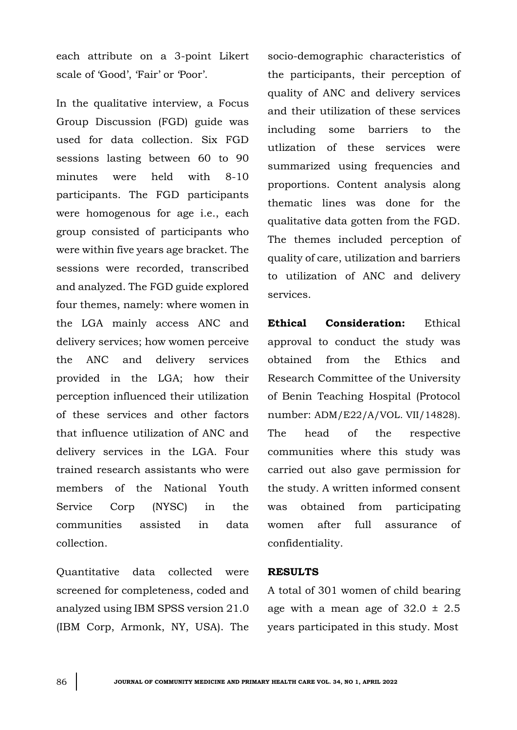each attribute on a 3-point Likert scale of 'Good', 'Fair' or 'Poor'.

In the qualitative interview, a Focus Group Discussion (FGD) guide was used for data collection. Six FGD sessions lasting between 60 to 90 minutes were held with 8-10 participants. The FGD participants were homogenous for age i.e., each group consisted of participants who were within five years age bracket. The sessions were recorded, transcribed and analyzed. The FGD guide explored four themes, namely: where women in the LGA mainly access ANC and delivery services; how women perceive the ANC and delivery services provided in the LGA; how their perception influenced their utilization of these services and other factors that influence utilization of ANC and delivery services in the LGA. Four trained research assistants who were members of the National Youth Service Corp (NYSC) in the communities assisted in data collection.

Quantitative data collected were screened for completeness, coded and analyzed using IBM SPSS version 21.0 (IBM Corp, Armonk, NY, USA). The socio-demographic characteristics of the participants, their perception of quality of ANC and delivery services and their utilization of these services including some barriers to the utlization of these services were summarized using frequencies and proportions. Content analysis along thematic lines was done for the qualitative data gotten from the FGD. The themes included perception of quality of care, utilization and barriers to utilization of ANC and delivery services.

**Ethical Consideration:** Ethical approval to conduct the study was obtained from the Ethics and Research Committee of the University of Benin Teaching Hospital (Protocol number: ADM/E22/A/VOL. VII/14828). The head of the respective communities where this study was carried out also gave permission for the study. A written informed consent was obtained from participating women after full assurance of confidentiality.

#### **RESULTS**

A total of 301 women of child bearing age with a mean age of  $32.0 \pm 2.5$ years participated in this study. Most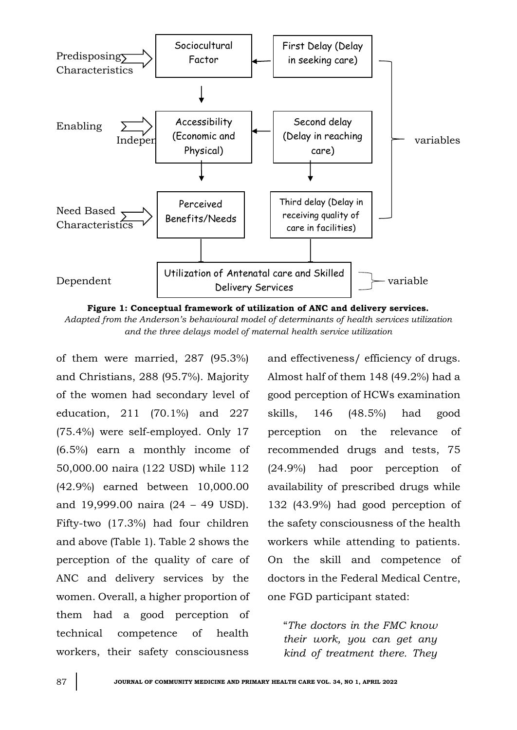

**Figure 1: Conceptual framework of utilization of ANC and delivery services.**

*Adapted from the Anderson's behavioural model of determinants of health services utilization and the three delays model of maternal health service utilization*

of them were married, 287 (95.3%) and Christians, 288 (95.7%). Majority of the women had secondary level of education, 211 (70.1%) and 227 (75.4%) were self-employed. Only 17 (6.5%) earn a monthly income of 50,000.00 naira (122 USD) while 112 (42.9%) earned between 10,000.00 and 19,999.00 naira (24 – 49 USD). Fifty-two (17.3%) had four children and above (Table 1). Table 2 shows the perception of the quality of care of ANC and delivery services by the women. Overall, a higher proportion of them had a good perception of technical competence of health workers, their safety consciousness

and effectiveness/ efficiency of drugs. Almost half of them 148 (49.2%) had a good perception of HCWs examination skills, 146 (48.5%) had good perception on the relevance of recommended drugs and tests, 75 (24.9%) had poor perception of availability of prescribed drugs while 132 (43.9%) had good perception of the safety consciousness of the health workers while attending to patients. On the skill and competence of doctors in the Federal Medical Centre, one FGD participant stated:

"*The doctors in the FMC know their work, you can get any kind of treatment there. They*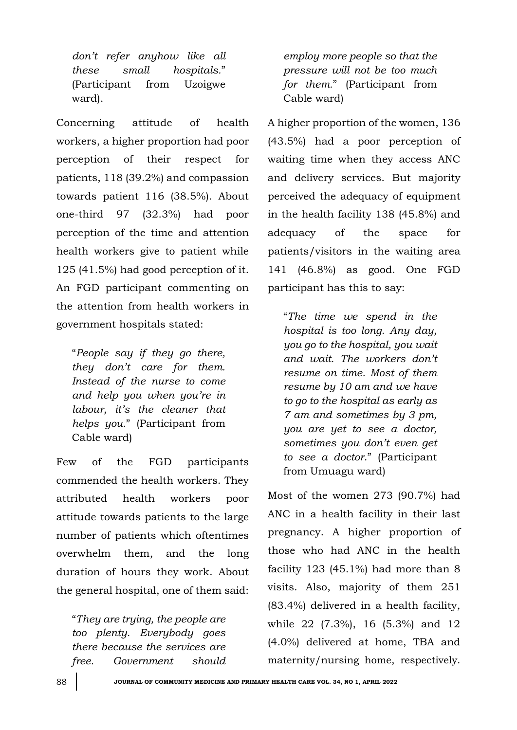*don't refer anyhow like all these small hospitals.*" (Participant from Uzoigwe ward).

Concerning attitude of health workers, a higher proportion had poor perception of their respect for patients, 118 (39.2%) and compassion towards patient 116 (38.5%). About one-third 97 (32.3%) had poor perception of the time and attention health workers give to patient while 125 (41.5%) had good perception of it. An FGD participant commenting on the attention from health workers in government hospitals stated:

"*People say if they go there, they don't care for them. Instead of the nurse to come and help you when you're in labour, it's the cleaner that helps you.*" (Participant from Cable ward)

Few of the FGD participants commended the health workers. They attributed health workers poor attitude towards patients to the large number of patients which oftentimes overwhelm them, and the long duration of hours they work. About the general hospital, one of them said:

"*They are trying, the people are too plenty. Everybody goes there because the services are free. Government should*  *employ more people so that the pressure will not be too much for them.*" (Participant from Cable ward)

A higher proportion of the women, 136 (43.5%) had a poor perception of waiting time when they access ANC and delivery services. But majority perceived the adequacy of equipment in the health facility 138 (45.8%) and adequacy of the space for patients/visitors in the waiting area 141 (46.8%) as good. One FGD participant has this to say:

"*The time we spend in the hospital is too long. Any day, you go to the hospital, you wait and wait. The workers don't resume on time. Most of them resume by 10 am and we have to go to the hospital as early as 7 am and sometimes by 3 pm, you are yet to see a doctor, sometimes you don't even get to see a doctor*." (Participant from Umuagu ward)

Most of the women 273 (90.7%) had ANC in a health facility in their last pregnancy. A higher proportion of those who had ANC in the health facility  $123$  (45.1%) had more than 8 visits. Also, majority of them 251 (83.4%) delivered in a health facility, while 22 (7.3%), 16 (5.3%) and 12 (4.0%) delivered at home, TBA and maternity/nursing home, respectively.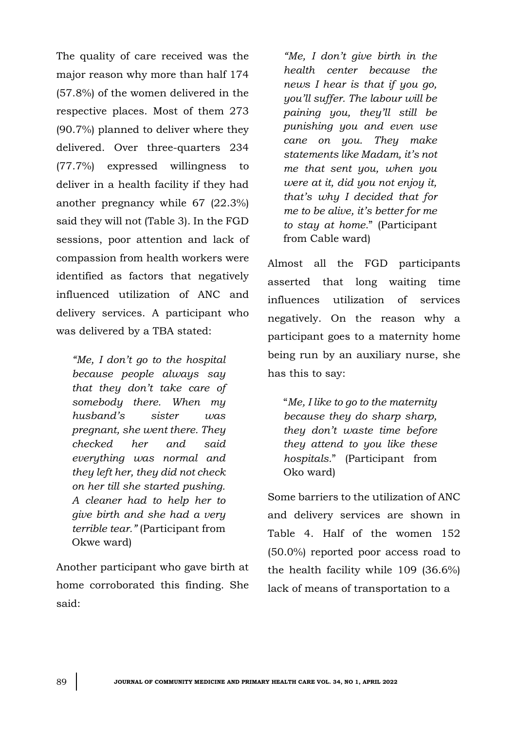The quality of care received was the major reason why more than half 174 (57.8%) of the women delivered in the respective places. Most of them 273 (90.7%) planned to deliver where they delivered. Over three-quarters 234 (77.7%) expressed willingness to deliver in a health facility if they had another pregnancy while 67 (22.3%) said they will not (Table 3). In the FGD sessions, poor attention and lack of compassion from health workers were identified as factors that negatively influenced utilization of ANC and delivery services. A participant who was delivered by a TBA stated:

*"Me, I don't go to the hospital because people always say that they don't take care of somebody there. When my husband's sister was pregnant, she went there. They checked her and said everything was normal and they left her, they did not check on her till she started pushing. A cleaner had to help her to give birth and she had a very terrible tear."* (Participant from Okwe ward)

Another participant who gave birth at home corroborated this finding. She said:

*"Me, I don't give birth in the health center because the news I hear is that if you go, you'll suffer. The labour will be paining you, they'll still be punishing you and even use cane on you. They make statements like Madam, it's not me that sent you, when you were at it, did you not enjoy it, that's why I decided that for me to be alive, it's better for me to stay at home.*" (Participant from Cable ward)

Almost all the FGD participants asserted that long waiting time influences utilization of services negatively. On the reason why a participant goes to a maternity home being run by an auxiliary nurse, she has this to say:

"*Me, I like to go to the maternity because they do sharp sharp, they don't waste time before they attend to you like these hospitals.*" (Participant from Oko ward)

Some barriers to the utilization of ANC and delivery services are shown in Table 4. Half of the women 152 (50.0%) reported poor access road to the health facility while 109 (36.6%) lack of means of transportation to a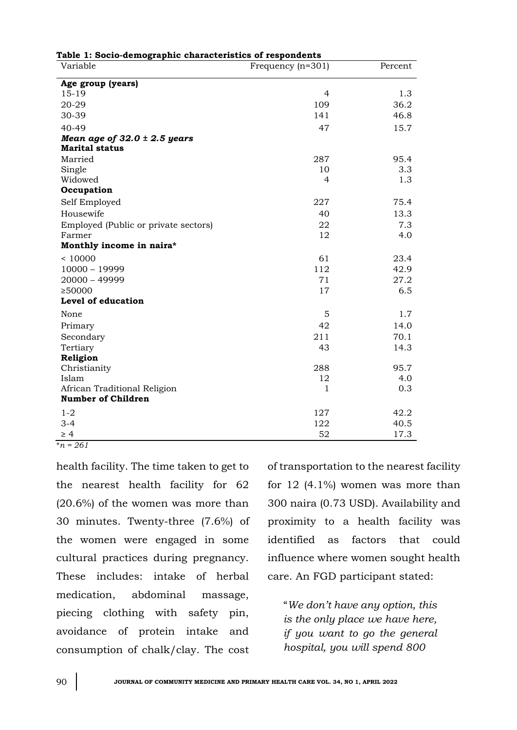| Table 1: Socio-demographic characteristics of respondents |                     |         |
|-----------------------------------------------------------|---------------------|---------|
| Variable                                                  | Frequency $(n=301)$ | Percent |
| Age group (years)                                         |                     |         |
| $15 - 19$                                                 | $\overline{4}$      | 1.3     |
| 20-29                                                     | 109                 | 36.2    |
| 30-39                                                     | 141                 | 46.8    |
| 40-49                                                     | 47                  | 15.7    |
| Mean age of $32.0 \pm 2.5$ years                          |                     |         |
| <b>Marital status</b>                                     |                     |         |
| Married                                                   | 287                 | 95.4    |
| Single                                                    | 10                  | 3.3     |
| Widowed                                                   | 4                   | 1.3     |
| Occupation                                                |                     |         |
| Self Employed                                             | 227                 | 75.4    |
| Housewife                                                 | 40                  | 13.3    |
| Employed (Public or private sectors)                      | 22                  | 7.3     |
| Farmer                                                    | 12                  | 4.0     |
| Monthly income in naira*                                  |                     |         |
| < 10000                                                   | 61                  | 23.4    |
| $10000 - 19999$                                           | 112                 | 42.9    |
| 20000 - 49999                                             | 71                  | 27.2    |
| ≥50000                                                    | 17                  | 6.5     |
| Level of education                                        |                     |         |
| None                                                      | 5                   | 1.7     |
| Primary                                                   | 42                  | 14.0    |
| Secondary                                                 | 211                 | 70.1    |
| Tertiary                                                  | 43                  | 14.3    |
| Religion                                                  |                     |         |
| Christianity                                              | 288                 | 95.7    |
| Islam                                                     | 12                  | 4.0     |
| African Traditional Religion                              | $\mathbf{1}$        | 0.3     |
| <b>Number of Children</b>                                 |                     |         |
| $1 - 2$                                                   | 127                 | 42.2    |
| $3 - 4$                                                   | 122                 | 40.5    |
| $\geq 4$                                                  | 52                  | 17.3    |

\**n = 261*

health facility. The time taken to get to the nearest health facility for 62 (20.6%) of the women was more than 30 minutes. Twenty-three (7.6%) of the women were engaged in some cultural practices during pregnancy. These includes: intake of herbal medication, abdominal massage, piecing clothing with safety pin, avoidance of protein intake and consumption of chalk/clay. The cost

of transportation to the nearest facility for 12 (4.1%) women was more than 300 naira (0.73 USD). Availability and proximity to a health facility was identified as factors that could influence where women sought health care. An FGD participant stated:

"*We don't have any option, this is the only place we have here, if you want to go the general hospital, you will spend 800*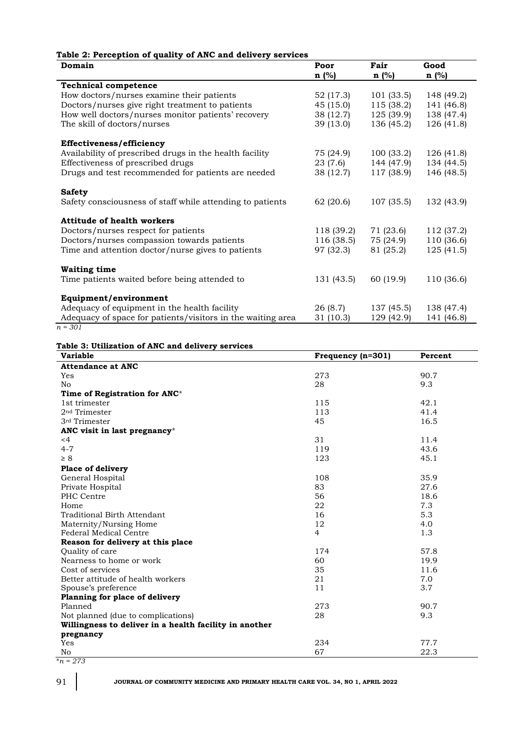### **Table 2: Perception of quality of ANC and delivery services**

| Domain                                                      | Poor       | Fair       | Good       |
|-------------------------------------------------------------|------------|------------|------------|
|                                                             | $n$ (%)    | $n$ (%)    | $n$ (%)    |
| <b>Technical competence</b>                                 |            |            |            |
| How doctors/nurses examine their patients                   | 52 (17.3)  | 101(33.5)  | 148 (49.2) |
| Doctors/nurses give right treatment to patients             | 45 (15.0)  | 115(38.2)  | 141 (46.8) |
| How well doctors/nurses monitor patients' recovery          | 38 (12.7)  | 125(39.9)  | 138 (47.4) |
| The skill of doctors/nurses                                 | 39 (13.0)  | 136 (45.2) | 126 (41.8) |
| Effectiveness/efficiency                                    |            |            |            |
| Availability of prescribed drugs in the health facility     | 75 (24.9)  | 100(33.2)  | 126 (41.8) |
| Effectiveness of prescribed drugs                           | 23 (7.6)   | 144 (47.9) | 134 (44.5) |
| Drugs and test recommended for patients are needed          | 38 (12.7)  | 117 (38.9) | 146 (48.5) |
| <b>Safety</b>                                               |            |            |            |
| Safety consciousness of staff while attending to patients   | 62 (20.6)  | 107(35.5)  | 132 (43.9) |
| <b>Attitude of health workers</b>                           |            |            |            |
| Doctors/nurses respect for patients                         | 118 (39.2) | 71 (23.6)  | 112 (37.2) |
| Doctors/nurses compassion towards patients                  | 116 (38.5) | 75 (24.9)  | 110 (36.6) |
| Time and attention doctor/nurse gives to patients           | 97 (32.3)  | 81 (25.2)  | 125(41.5)  |
| <b>Waiting time</b>                                         |            |            |            |
| Time patients waited before being attended to               | 131 (43.5) | 60 (19.9)  | 110 (36.6) |
| Equipment/environment                                       |            |            |            |
| Adequacy of equipment in the health facility                | 26 (8.7)   | 137(45.5)  | 138 (47.4) |
| Adequacy of space for patients/visitors in the waiting area | 31 (10.3)  | 129 (42.9) | 141 (46.8) |

*n = 301*

#### **Table 3: Utilization of ANC and delivery services**

| <b>Variable</b>                                        | Frequency (n=301) | Percent |
|--------------------------------------------------------|-------------------|---------|
| <b>Attendance at ANC</b>                               |                   |         |
| Yes                                                    | 273               | 90.7    |
| No                                                     | 28                | 9.3     |
| Time of Registration for ANC*                          |                   |         |
| 1st trimester                                          | 115               | 42.1    |
| 2 <sup>nd</sup> Trimester                              | 113               | 41.4    |
| 3rd Trimester                                          | 45                | 16.5    |
| ANC visit in last pregnancy*                           |                   |         |
| $<$ 4                                                  | 31                | 11.4    |
| $4 - 7$                                                | 119               | 43.6    |
| $\geq 8$                                               | 123               | 45.1    |
| <b>Place of delivery</b>                               |                   |         |
| General Hospital                                       | 108               | 35.9    |
| Private Hospital                                       | 83                | 27.6    |
| PHC Centre                                             | 56                | 18.6    |
| Home                                                   | 22                | 7.3     |
| Traditional Birth Attendant                            | 16                | 5.3     |
| Maternity/Nursing Home                                 | 12                | 4.0     |
| <b>Federal Medical Centre</b>                          | 4                 | 1.3     |
| Reason for delivery at this place                      |                   |         |
| Quality of care                                        | 174               | 57.8    |
| Nearness to home or work                               | 60                | 19.9    |
| Cost of services                                       | 35                | 11.6    |
| Better attitude of health workers                      | 21                | 7.0     |
| Spouse's preference                                    | 11                | 3.7     |
| Planning for place of delivery                         |                   |         |
| Planned                                                | 273               | 90.7    |
| Not planned (due to complications)                     | 28                | 9.3     |
| Willingness to deliver in a health facility in another |                   |         |
| pregnancy                                              |                   |         |
| Yes                                                    | 234               | 77.7    |
| No                                                     | 67                | 22.3    |

 $\frac{18}{12}$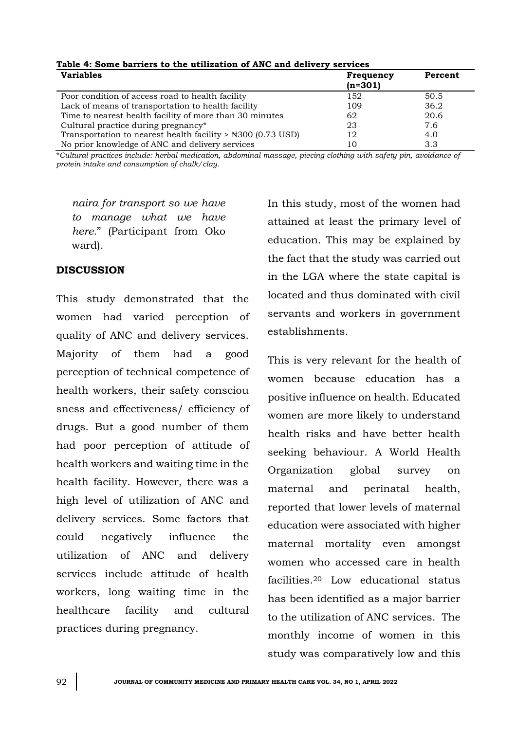| <b>Variables</b>                                                        | <b>Frequency</b><br>$(n=301)$ | Percent |
|-------------------------------------------------------------------------|-------------------------------|---------|
| Poor condition of access road to health facility                        | 152                           | 50.5    |
| Lack of means of transportation to health facility                      | 109                           | 36.2    |
| Time to nearest health facility of more than 30 minutes                 | 62                            | 20.6    |
| Cultural practice during pregnancy*                                     | 23                            | 7.6     |
| Transportation to nearest health facility $>$ $\text{\#300}$ (0.73 USD) | 12                            | 4.0     |
| No prior knowledge of ANC and delivery services                         |                               | 3.3     |

# **Table 4: Some barriers to the utilization of ANC and delivery services**

\**Cultural practices include: herbal medication, abdominal massage, piecing clothing with safety pin, avoidance of protein intake and consumption of chalk/clay.*

*naira for transport so we have to manage what we have here.*" (Participant from Oko ward).

# **DISCUSSION**

This study demonstrated that the women had varied perception of quality of ANC and delivery services. Majority of them had a good perception of technical competence of health workers, their safety consciou sness and effectiveness/ efficiency of drugs. But a good number of them had poor perception of attitude of health workers and waiting time in the health facility. However, there was a high level of utilization of ANC and delivery services. Some factors that could negatively influence the utilization of ANC and delivery services include attitude of health workers, long waiting time in the healthcare facility and cultural practices during pregnancy.

In this study, most of the women had attained at least the primary level of education. This may be explained by the fact that the study was carried out in the LGA where the state capital is located and thus dominated with civil servants and workers in government establishments.

This is very relevant for the health of women because education has a positive influence on health. Educated women are more likely to understand health risks and have better health seeking behaviour. A World Health Organization global survey on maternal and perinatal health, reported that lower levels of maternal education were associated with higher maternal mortality even amongst women who accessed care in health facilities.<sup>20</sup> Low educational status has been identified as a major barrier to the utilization of ANC services. The monthly income of women in this study was comparatively low and this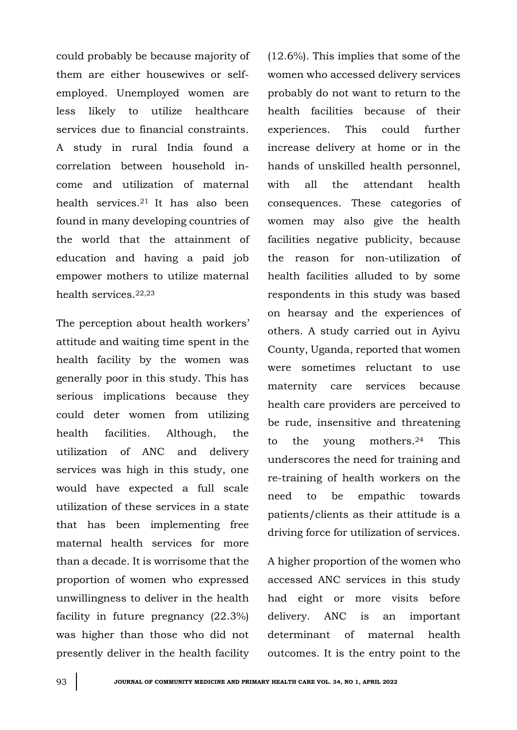could probably be because majority of them are either housewives or selfemployed. Unemployed women are less likely to utilize healthcare services due to financial constraints. A study in rural India found a correlation between household income and utilization of maternal health services.21 It has also been found in many developing countries of the world that the attainment of education and having a paid job empower mothers to utilize maternal health services.22,23

The perception about health workers' attitude and waiting time spent in the health facility by the women was generally poor in this study. This has serious implications because they could deter women from utilizing health facilities. Although, the utilization of ANC and delivery services was high in this study, one would have expected a full scale utilization of these services in a state that has been implementing free maternal health services for more than a decade. It is worrisome that the proportion of women who expressed unwillingness to deliver in the health facility in future pregnancy (22.3%) was higher than those who did not presently deliver in the health facility (12.6%). This implies that some of the women who accessed delivery services probably do not want to return to the health facilities because of their experiences. This could further increase delivery at home or in the hands of unskilled health personnel, with all the attendant health consequences. These categories of women may also give the health facilities negative publicity, because the reason for non-utilization of health facilities alluded to by some respondents in this study was based on hearsay and the experiences of others. A study carried out in Ayivu County, Uganda, reported that women were sometimes reluctant to use maternity care services because health care providers are perceived to be rude, insensitive and threatening to the young mothers.<sup>24</sup> This underscores the need for training and re-training of health workers on the need to be empathic towards patients/clients as their attitude is a driving force for utilization of services.

A higher proportion of the women who accessed ANC services in this study had eight or more visits before delivery. ANC is an important determinant of maternal health outcomes. It is the entry point to the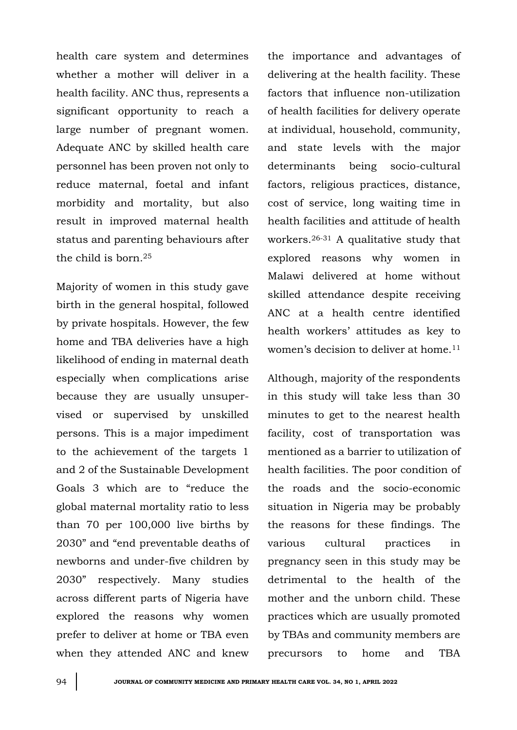health care system and determines whether a mother will deliver in a health facility. ANC thus, represents a significant opportunity to reach a large number of pregnant women. Adequate ANC by skilled health care personnel has been proven not only to reduce maternal, foetal and infant morbidity and mortality, but also result in improved maternal health status and parenting behaviours after the child is born.<sup>25</sup>

Majority of women in this study gave birth in the general hospital, followed by private hospitals. However, the few home and TBA deliveries have a high likelihood of ending in maternal death especially when complications arise because they are usually unsupervised or supervised by unskilled persons. This is a major impediment to the achievement of the targets 1 and 2 of the Sustainable Development Goals 3 which are to "reduce the global maternal mortality ratio to less than 70 per 100,000 live births by 2030" and "end preventable deaths of newborns and under-five children by 2030" respectively. Many studies across different parts of Nigeria have explored the reasons why women prefer to deliver at home or TBA even when they attended ANC and knew

the importance and advantages of delivering at the health facility. These factors that influence non-utilization of health facilities for delivery operate at individual, household, community, and state levels with the major determinants being socio-cultural factors, religious practices, distance, cost of service, long waiting time in health facilities and attitude of health workers.26-31 A qualitative study that explored reasons why women in Malawi delivered at home without skilled attendance despite receiving ANC at a health centre identified health workers' attitudes as key to women's decision to deliver at home.<sup>11</sup>

Although, majority of the respondents in this study will take less than 30 minutes to get to the nearest health facility, cost of transportation was mentioned as a barrier to utilization of health facilities. The poor condition of the roads and the socio-economic situation in Nigeria may be probably the reasons for these findings. The various cultural practices in pregnancy seen in this study may be detrimental to the health of the mother and the unborn child. These practices which are usually promoted by TBAs and community members are precursors to home and TBA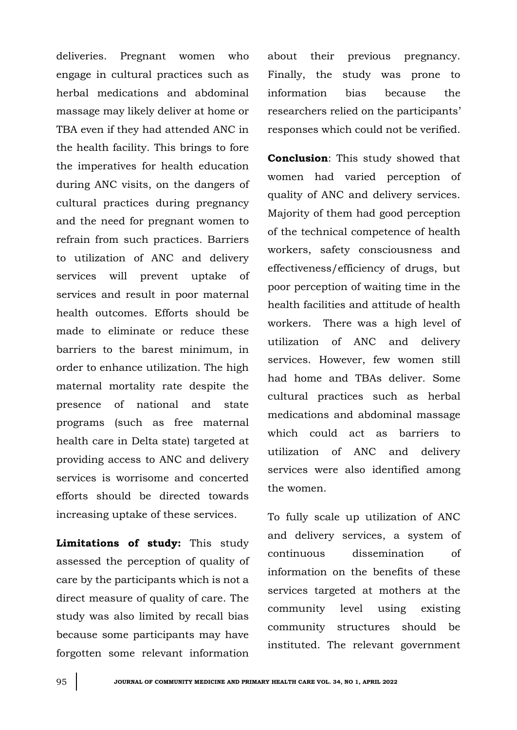deliveries. Pregnant women who engage in cultural practices such as herbal medications and abdominal massage may likely deliver at home or TBA even if they had attended ANC in the health facility. This brings to fore the imperatives for health education during ANC visits, on the dangers of cultural practices during pregnancy and the need for pregnant women to refrain from such practices. Barriers to utilization of ANC and delivery services will prevent uptake of services and result in poor maternal health outcomes. Efforts should be made to eliminate or reduce these barriers to the barest minimum, in order to enhance utilization. The high maternal mortality rate despite the presence of national and state programs (such as free maternal health care in Delta state) targeted at providing access to ANC and delivery services is worrisome and concerted efforts should be directed towards increasing uptake of these services.

**Limitations of study:** This study assessed the perception of quality of care by the participants which is not a direct measure of quality of care. The study was also limited by recall bias because some participants may have forgotten some relevant information

about their previous pregnancy. Finally, the study was prone to information bias because the researchers relied on the participants' responses which could not be verified.

**Conclusion**: This study showed that women had varied perception of quality of ANC and delivery services. Majority of them had good perception of the technical competence of health workers, safety consciousness and effectiveness/efficiency of drugs, but poor perception of waiting time in the health facilities and attitude of health workers. There was a high level of utilization of ANC and delivery services. However, few women still had home and TBAs deliver. Some cultural practices such as herbal medications and abdominal massage which could act as barriers to utilization of ANC and delivery services were also identified among the women.

To fully scale up utilization of ANC and delivery services, a system of continuous dissemination of information on the benefits of these services targeted at mothers at the community level using existing community structures should be instituted. The relevant government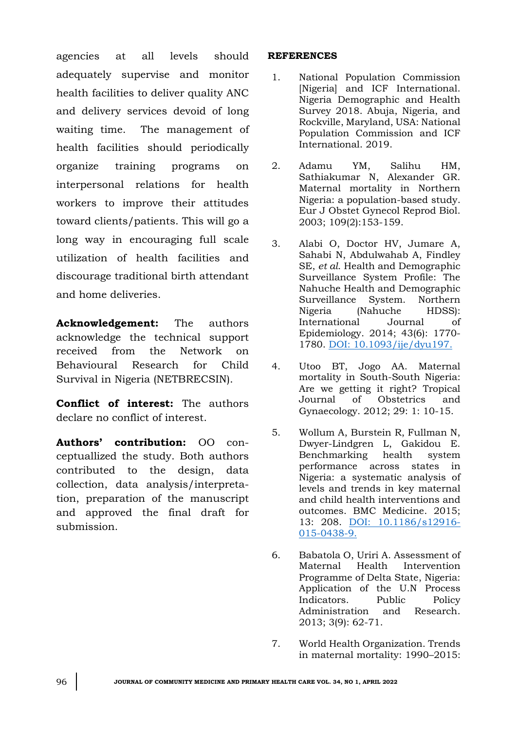agencies at all levels should adequately supervise and monitor health facilities to deliver quality ANC and delivery services devoid of long waiting time. The management of health facilities should periodically organize training programs on interpersonal relations for health workers to improve their attitudes toward clients/patients. This will go a long way in encouraging full scale utilization of health facilities and discourage traditional birth attendant and home deliveries.

**Acknowledgement:** The authors acknowledge the technical support received from the Network on Behavioural Research for Child Survival in Nigeria (NETBRECSIN).

**Conflict of interest:** The authors declare no conflict of interest.

**Authors' contribution:** OO conceptuallized the study. Both authors contributed to the design, data collection, data analysis/interpretation, preparation of the manuscript and approved the final draft for submission.

### **REFERENCES**

- 1. National Population Commission [Nigeria] and ICF International. Nigeria Demographic and Health Survey 2018. Abuja, Nigeria, and Rockville, Maryland, USA: National Population Commission and ICF International. 2019.
- 2. Adamu YM, Salihu HM, Sathiakumar N, Alexander GR. Maternal mortality in Northern Nigeria: a population-based study. Eur J Obstet Gynecol Reprod Biol. 2003; 109(2):153-159.
- 3. Alabi O, Doctor HV, Jumare A, Sahabi N, Abdulwahab A, Findley SE, *et al*. Health and Demographic Surveillance System Profile: The Nahuche Health and Demographic Surveillance System. Northern Nigeria (Nahuche HDSS): International Journal of Epidemiology. 2014; 43(6): 1770- 1780. [DOI: 10.1093/ije/dyu197.](doi:%2010.1093/ije/dyu197.)
- 4. Utoo BT, Jogo AA. Maternal mortality in South-South Nigeria: Are we getting it right? Tropical Journal of Obstetrics and Gynaecology. 2012; 29: 1: 10-15.
- 5. Wollum A, Burstein R, Fullman N, Dwyer-Lindgren L, Gakidou E. Benchmarking health system performance across states in Nigeria: a systematic analysis of levels and trends in key maternal and child health interventions and outcomes. BMC Medicine. 2015; 13: 208. [DOI: 10.1186/s12916-](doi:%2010.1186/s12916-015-0438-9.) [015-0438-9.](doi:%2010.1186/s12916-015-0438-9.)
- 6. Babatola O, Uriri A. Assessment of Maternal Health Intervention Programme of Delta State, Nigeria: Application of the U.N Process Indicators. Public Policy Administration and Research. 2013; 3(9): 62-71.
- 7. World Health Organization. Trends in maternal mortality: 1990–2015: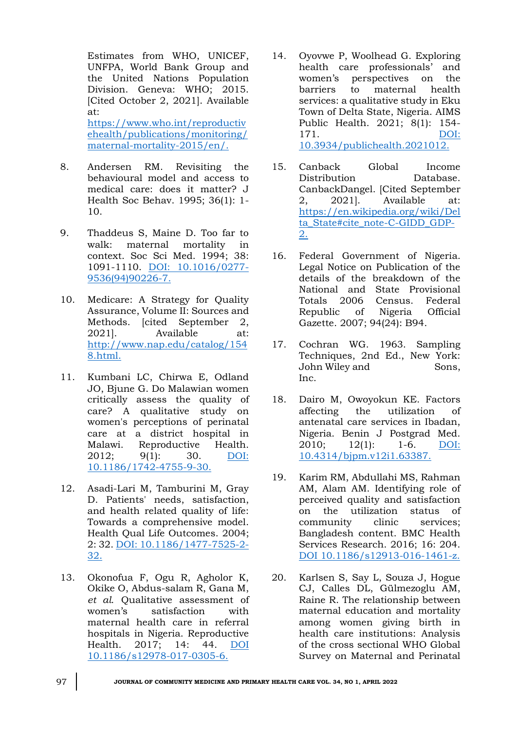Estimates from WHO, UNICEF, UNFPA, World Bank Group and the United Nations Population Division. Geneva: WHO; 2015. [Cited October 2, 2021]. Available at: [https://www.who.int/reproductiv](https://www.who.int/reproductivehealth/publications/monitoring/maternal-mortality-2015/en/)

[ehealth/publications/monitoring/](https://www.who.int/reproductivehealth/publications/monitoring/maternal-mortality-2015/en/) [maternal-mortality-2015/en/.](https://www.who.int/reproductivehealth/publications/monitoring/maternal-mortality-2015/en/)

- 8. Andersen RM. Revisiting the behavioural model and access to medical care: does it matter? J Health Soc Behav. 1995; 36(1): 1- 10.
- 9. Thaddeus S, Maine D. Too far to walk: maternal mortality in context. Soc Sci Med. 1994; 38: 1091-1110. [DOI: 10.1016/0277-](http://dx.doi.org/10.1016/0277-9536(94)90226-7) [9536\(94\)90226-7.](http://dx.doi.org/10.1016/0277-9536(94)90226-7)
- 10. Medicare: A Strategy for Quality Assurance, Volume II: Sources and Methods. [cited September 2, 2021]. Available at: [http://www.nap.edu/catalog/154](http://www.nap.edu/catalog/1548.html) [8.html.](http://www.nap.edu/catalog/1548.html)
- 11. Kumbani LC, Chirwa E, Odland JO, Bjune G. Do Malawian women critically assess the quality of care? A qualitative study on women's perceptions of perinatal care at a district hospital in Malawi. Reproductive Health. 2012; 9(1): 30. [DOI:](doi:%2010.1186/1742-4755-9-30.)  [10.1186/1742-4755-9-30.](doi:%2010.1186/1742-4755-9-30.)
- 12. Asadi-Lari M, Tamburini M, Gray D. Patients' needs, satisfaction, and health related quality of life: Towards a comprehensive model. Health Qual Life Outcomes. 2004; 2: 32. DOI: [10.1186/1477-7525-2-](doi:%2010.1186/1477-7525-2-32.) [32.](doi:%2010.1186/1477-7525-2-32.)
- 13. Okonofua F, Ogu R, Agholor K, Okike O, Abdus-salam R, Gana M, *et al*. Qualitative assessment of women's satisfaction with maternal health care in referral hospitals in Nigeria. Reproductive Health. 2017; 14: 44. [DOI](file:///C:/Users/Dr%20Omuemu/Desktop/for%20printing/Undergrad%20lect%202022/JCMPHC%2034(1)%20April%202022/DOI%2010.1186/s12978-017-0305-6)  [10.1186/s12978-017-0305-6.](file:///C:/Users/Dr%20Omuemu/Desktop/for%20printing/Undergrad%20lect%202022/JCMPHC%2034(1)%20April%202022/DOI%2010.1186/s12978-017-0305-6)
- 14. Oyovwe P, Woolhead G. Exploring health care professionals' and women's perspectives on the barriers to maternal health services: a qualitative study in Eku Town of Delta State, Nigeria. AIMS Public Health. 2021; 8(1): 154- 171. [DOI:](doi:%2010.3934/publichealth.2021012.)  [10.3934/publichealth.2021012.](doi:%2010.3934/publichealth.2021012.)
- 15. Canback Global Income Distribution Database. CanbackDangel. [Cited September 2, 2021]. Available at: [https://en.wikipedia.org/wiki/Del](https://en.wikipedia.org/wiki/Delta_State#cite_note-C-GIDD_GDP-2) [ta\\_State#cite\\_note-C-GIDD\\_GDP-](https://en.wikipedia.org/wiki/Delta_State#cite_note-C-GIDD_GDP-2)[2.](https://en.wikipedia.org/wiki/Delta_State#cite_note-C-GIDD_GDP-2)
- 16. Federal Government of Nigeria. Legal Notice on Publication of the details of the breakdown of the National and State Provisional Totals 2006 Census. Federal Republic of Nigeria Official Gazette. 2007; 94(24): B94.
- 17. Cochran WG. 1963. Sampling Techniques, 2nd Ed., New York: John Wiley and Sons, Inc.
- 18. Dairo M, Owoyokun KE. Factors affecting the utilization of antenatal care services in Ibadan, Nigeria. Benin J Postgrad Med. 2010; 12(1): 1-6. [DOI:](http://dx.doi.org/10.4314/bjpm.v12i1.63387)  [10.4314/bjpm.v12i1.63387.](http://dx.doi.org/10.4314/bjpm.v12i1.63387)
- 19. Karim RM, Abdullahi MS, Rahman AM, Alam AM. Identifying role of perceived quality and satisfaction on the utilization status of community clinic services; Bangladesh content. BMC Health Services Research. 2016; 16: 204. [DOI 10.1186/s12913-016-1461-z.](file:///C:/Users/Dr%20Omuemu/Desktop/for%20printing/Undergrad%20lect%202022/JCMPHC%2034(1)%20April%202022/DOI%2010.1186/s12913-016-1461-z)
- 20. Karlsen S, Say L, Souza J, Hogue CJ, Calles DL, Gülmezoglu AM, Raine R. The relationship between maternal education and mortality among women giving birth in health care institutions: Analysis of the cross sectional WHO Global Survey on Maternal and Perinatal